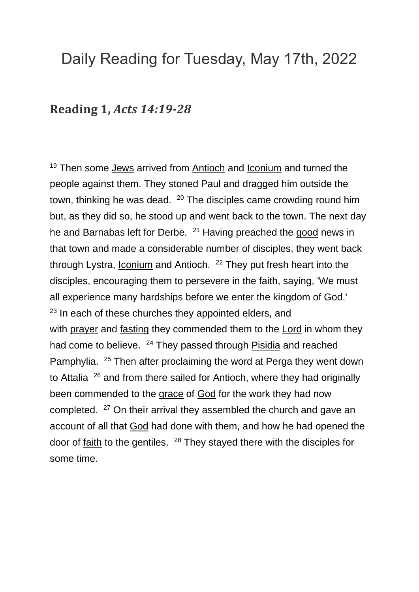## Daily Reading for Tuesday, May 17th, 2022

## **Reading 1,** *Acts 14:19-28*

<sup>19</sup> Then some [Jews](https://www.catholic.org/encyclopedia/view.php?id=6511) arrived from [Antioch](https://www.catholic.org/encyclopedia/view.php?id=870) and [Iconium](https://www.catholic.org/encyclopedia/view.php?id=6020) and turned the people against them. They stoned Paul and dragged him outside the town, thinking he was dead.  $20$  The disciples came crowding round him but, as they did so, he stood up and went back to the town. The next day he and Barnabas left for Derbe. <sup>21</sup> Having preached the [good](https://www.catholic.org/encyclopedia/view.php?id=5257) news in that town and made a considerable number of disciples, they went back through Lystra, *[Iconium](https://www.catholic.org/encyclopedia/view.php?id=6020)* and Antioch. <sup>22</sup> They put fresh heart into the disciples, encouraging them to persevere in the faith, saying, 'We must all experience many hardships before we enter the kingdom of God.'  $23$  In each of these churches they appointed elders, and with [prayer](https://www.catholic.org/prayers) and [fasting](https://www.catholic.org/clife/lent/abfast.php) they commended them to the [Lord](https://www.catholic.org/encyclopedia/view.php?id=5217) in whom they had come to believe. <sup>24</sup> They passed through [Pisidia](https://www.catholic.org/encyclopedia/view.php?id=9390) and reached Pamphylia. <sup>25</sup> Then after proclaiming the word at Perga they went down to Attalia  $26$  and from there sailed for Antioch, where they had originally been commended to the [grace](https://www.catholic.org/encyclopedia/view.php?id=5305) of [God](https://www.catholic.org/encyclopedia/view.php?id=5217) for the work they had now completed. <sup>27</sup> On their arrival they assembled the church and gave an account of all that [God](https://www.catholic.org/encyclopedia/view.php?id=5217) had done with them, and how he had opened the door of [faith](https://www.catholic.org/encyclopedia/view.php?id=4554) to the gentiles. <sup>28</sup> They stayed there with the disciples for some time.